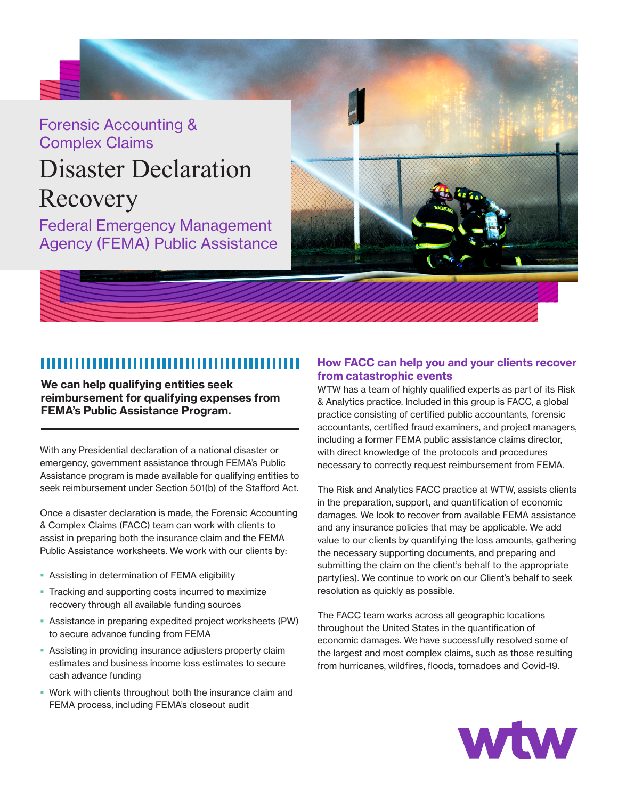Forensic Accounting & Complex Claims

# Disaster Declaration Recovery

Federal Emergency Management Agency (FEMA) Public Assistance



# 

We can help qualifying entities seek reimbursement for qualifying expenses from FEMA's Public Assistance Program.

With any Presidential declaration of a national disaster or emergency, government assistance through FEMA's Public Assistance program is made available for qualifying entities to seek reimbursement under Section 501(b) of the Stafford Act.

Once a disaster declaration is made, the Forensic Accounting & Complex Claims (FACC) team can work with clients to assist in preparing both the insurance claim and the FEMA Public Assistance worksheets. We work with our clients by:

- Assisting in determination of FEMA eligibility
- **Tracking and supporting costs incurred to maximize** recovery through all available funding sources
- Assistance in preparing expedited project worksheets (PW) to secure advance funding from FEMA
- Assisting in providing insurance adjusters property claim estimates and business income loss estimates to secure cash advance funding
- Work with clients throughout both the insurance claim and FEMA process, including FEMA's closeout audit

#### How FACC can help you and your clients recover from catastrophic events

WTW has a team of highly qualified experts as part of its Risk & Analytics practice. Included in this group is FACC, a global practice consisting of certified public accountants, forensic accountants, certified fraud examiners, and project managers, including a former FEMA public assistance claims director, with direct knowledge of the protocols and procedures necessary to correctly request reimbursement from FEMA.

The Risk and Analytics FACC practice at WTW, assists clients in the preparation, support, and quantification of economic damages. We look to recover from available FEMA assistance and any insurance policies that may be applicable. We add value to our clients by quantifying the loss amounts, gathering the necessary supporting documents, and preparing and submitting the claim on the client's behalf to the appropriate party(ies). We continue to work on our Client's behalf to seek resolution as quickly as possible.

The FACC team works across all geographic locations throughout the United States in the quantification of economic damages. We have successfully resolved some of the largest and most complex claims, such as those resulting from hurricanes, wildfires, floods, tornadoes and Covid-19.